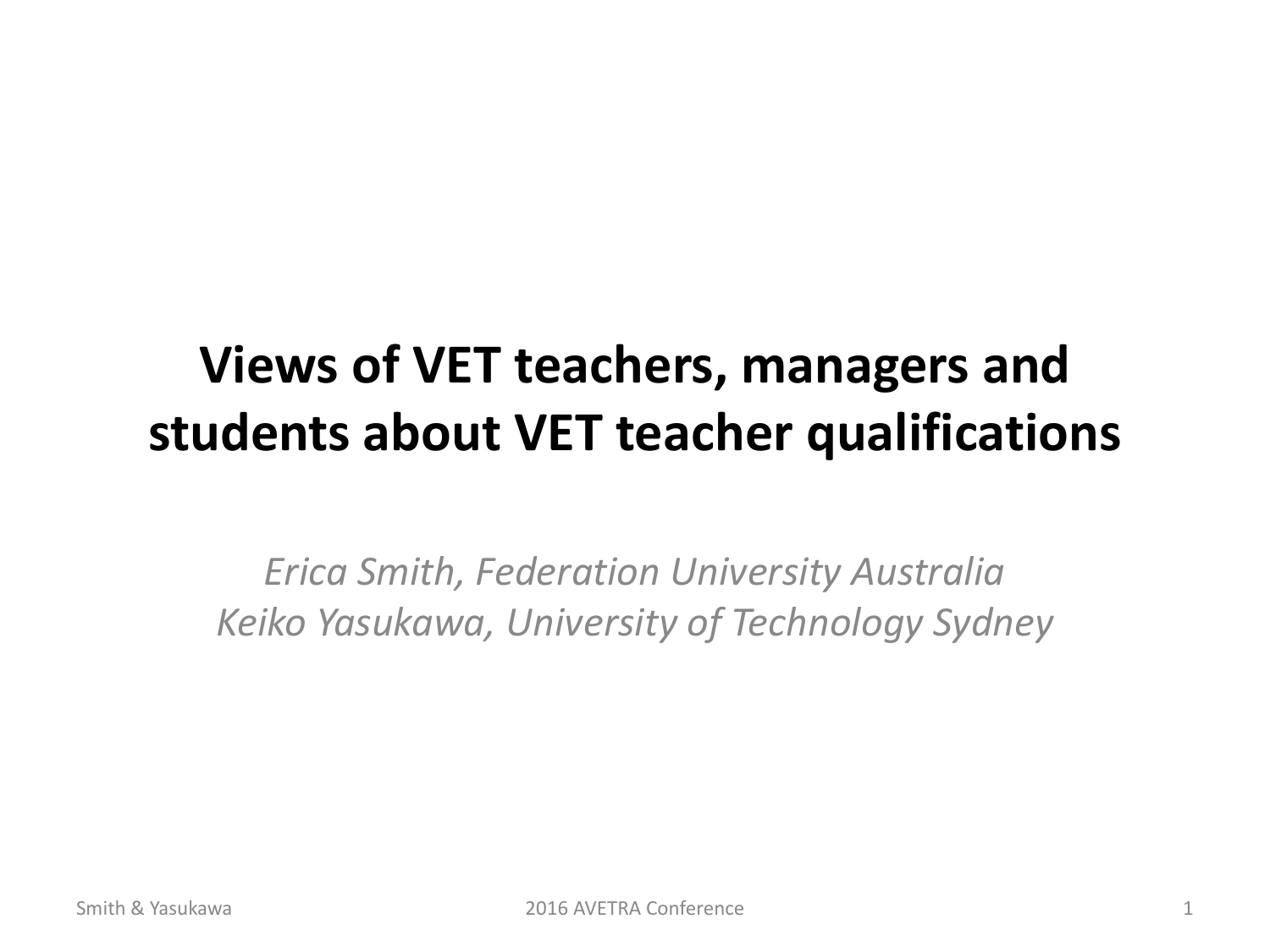#### **Views of VET teachers, managers and students about VET teacher qualifications**

*Erica Smith, Federation University Australia Keiko Yasukawa, University of Technology Sydney*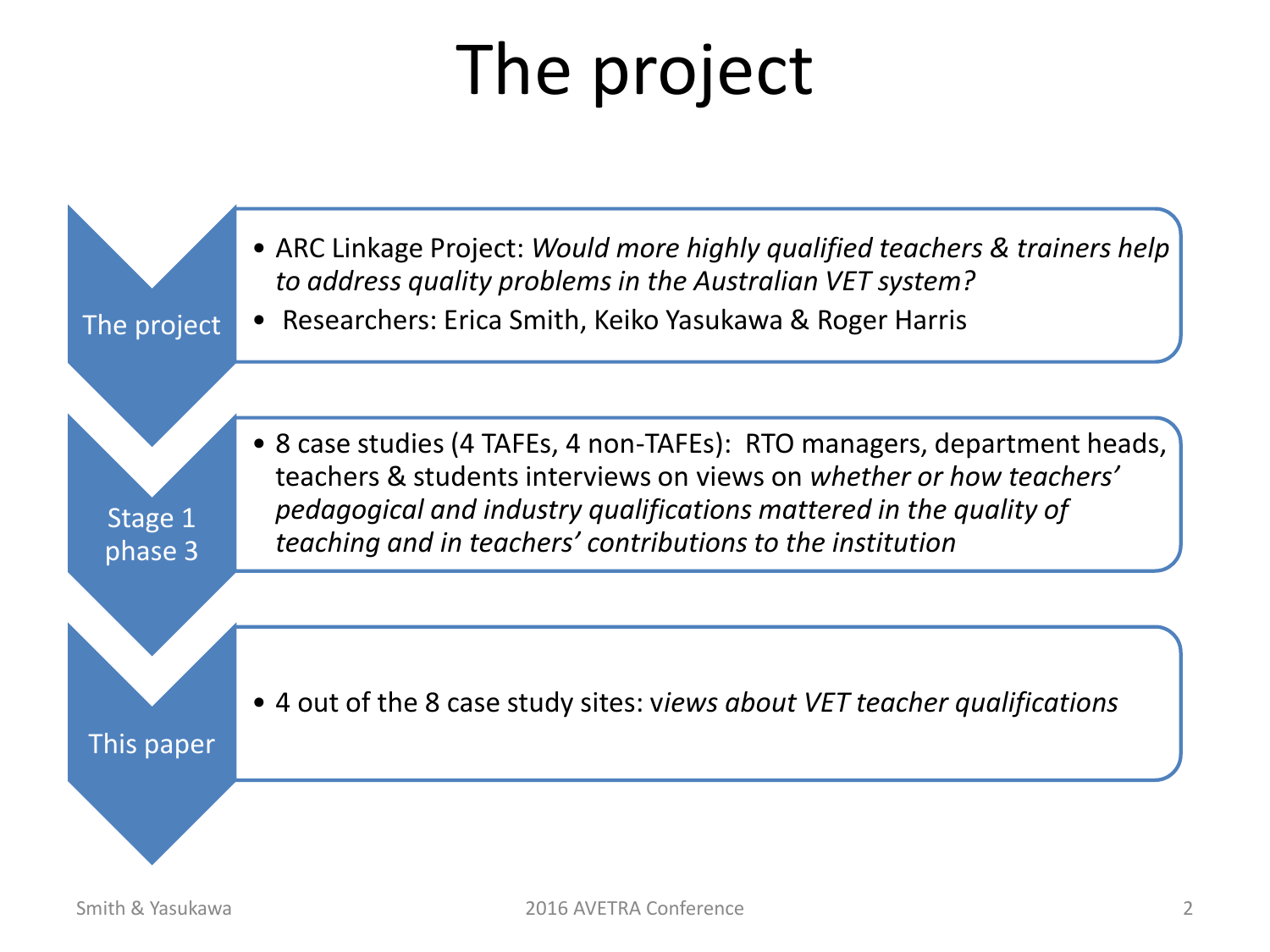# The project

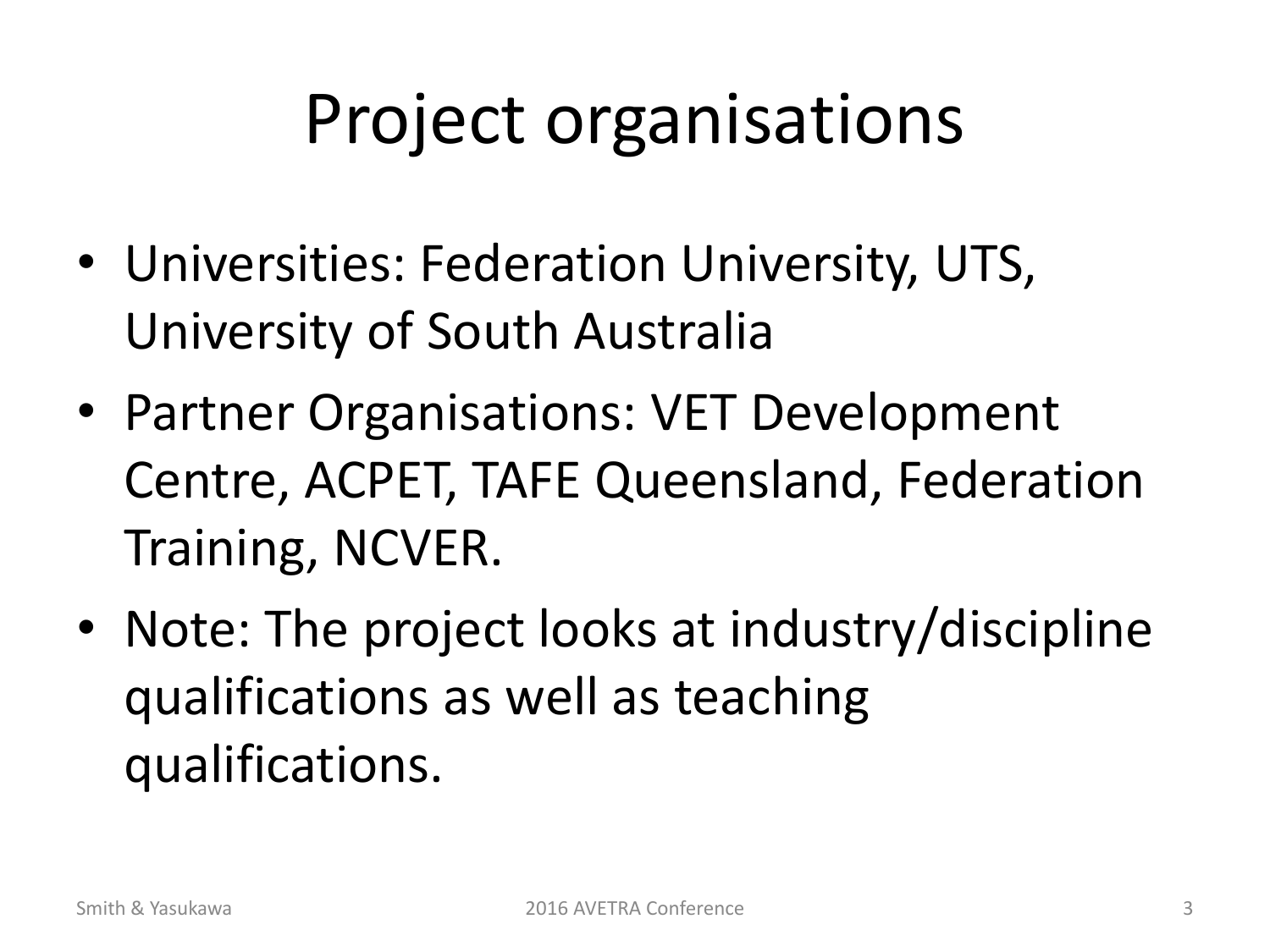# Project organisations

- Universities: Federation University, UTS, University of South Australia
- Partner Organisations: VET Development Centre, ACPET, TAFE Queensland, Federation Training, NCVER.
- Note: The project looks at industry/discipline qualifications as well as teaching qualifications.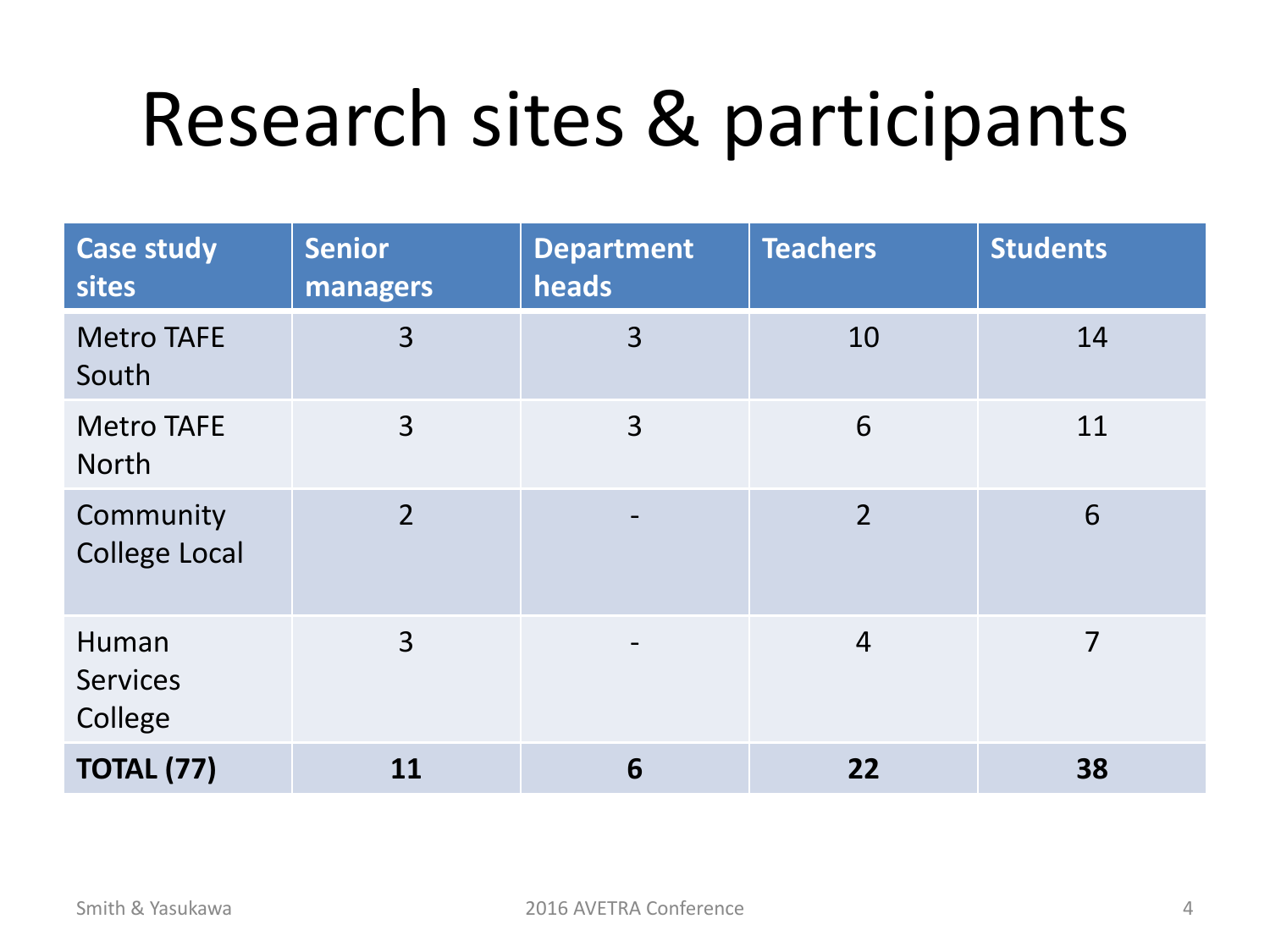# Research sites & participants

| <b>Case study</b><br>sites          | <b>Senior</b><br>managers | <b>Department</b><br>heads | <b>Teachers</b> | <b>Students</b> |
|-------------------------------------|---------------------------|----------------------------|-----------------|-----------------|
| <b>Metro TAFE</b><br>South          | 3                         | 3                          | 10              | 14              |
| <b>Metro TAFE</b><br><b>North</b>   | 3                         | 3                          | 6               | 11              |
| Community<br><b>College Local</b>   | $\overline{2}$            | $\overline{\phantom{a}}$   | $\overline{2}$  | 6               |
| Human<br><b>Services</b><br>College | 3                         | $\overline{\phantom{a}}$   | $\overline{4}$  | 7               |
| <b>TOTAL (77)</b>                   | 11                        | 6                          | 22              | 38              |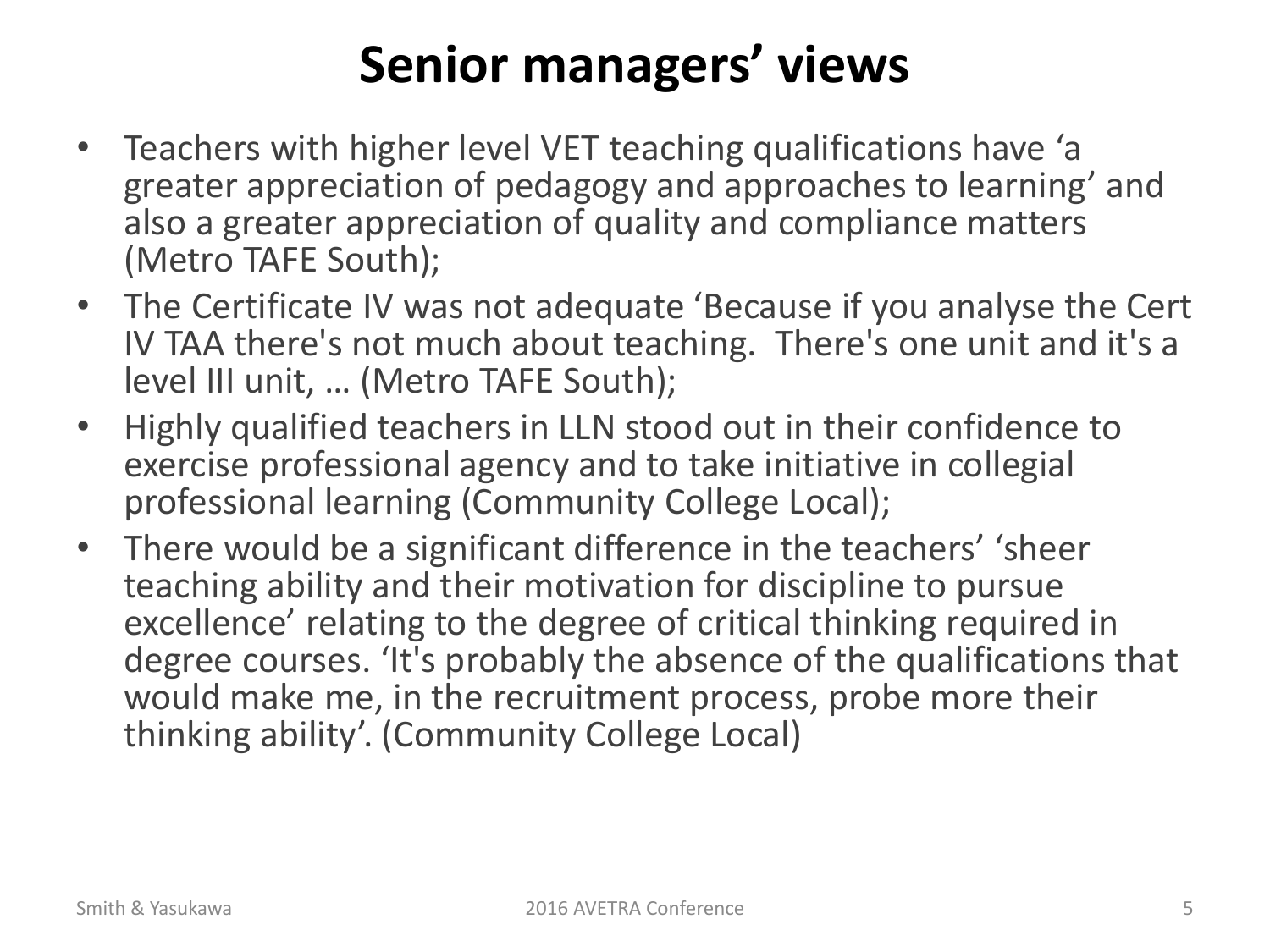#### **Senior managers' views**

- Teachers with higher level VET teaching qualifications have 'a greater appreciation of pedagogy and approaches to learning' and also a greater appreciation of quality and compliance matters (Metro TAFE South);
- The Certificate IV was not adequate 'Because if you analyse the Cert IV TAA there's not much about teaching. There's one unit and it's a level III unit, … (Metro TAFE South);
- Highly qualified teachers in LLN stood out in their confidence to exercise professional agency and to take initiative in collegial professional learning (Community College Local);
- There would be a significant difference in the teachers' 'sheer teaching ability and their motivation for discipline to pursue excellence' relating to the degree of critical thinking required in degree courses. 'It's probably the absence of the qualifications that would make me, in the recruitment process, probe more their thinking ability'. (Community College Local)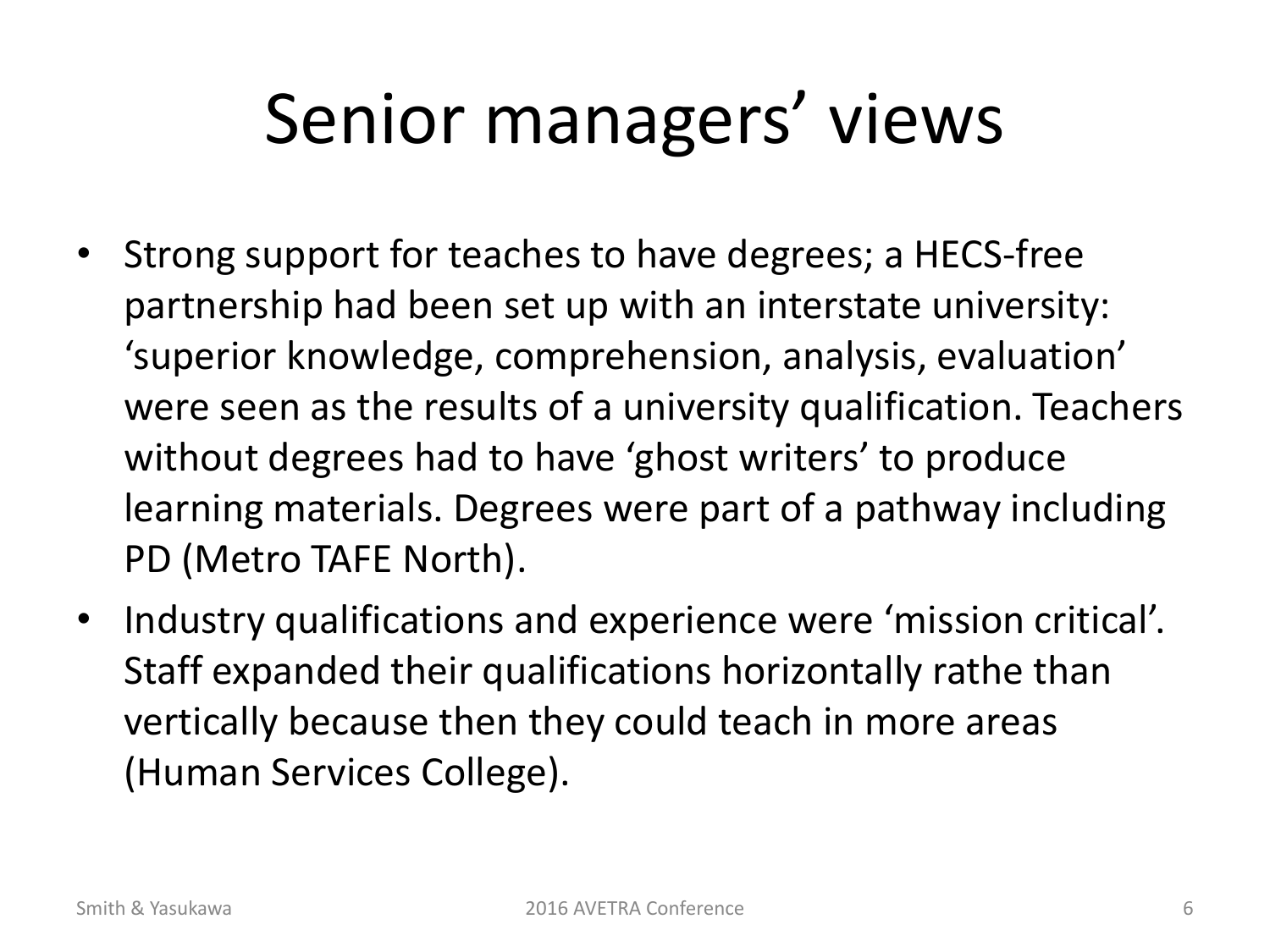# Senior managers' views

- Strong support for teaches to have degrees; a HECS-free partnership had been set up with an interstate university: 'superior knowledge, comprehension, analysis, evaluation' were seen as the results of a university qualification. Teachers without degrees had to have 'ghost writers' to produce learning materials. Degrees were part of a pathway including PD (Metro TAFE North).
- Industry qualifications and experience were 'mission critical'. Staff expanded their qualifications horizontally rathe than vertically because then they could teach in more areas (Human Services College).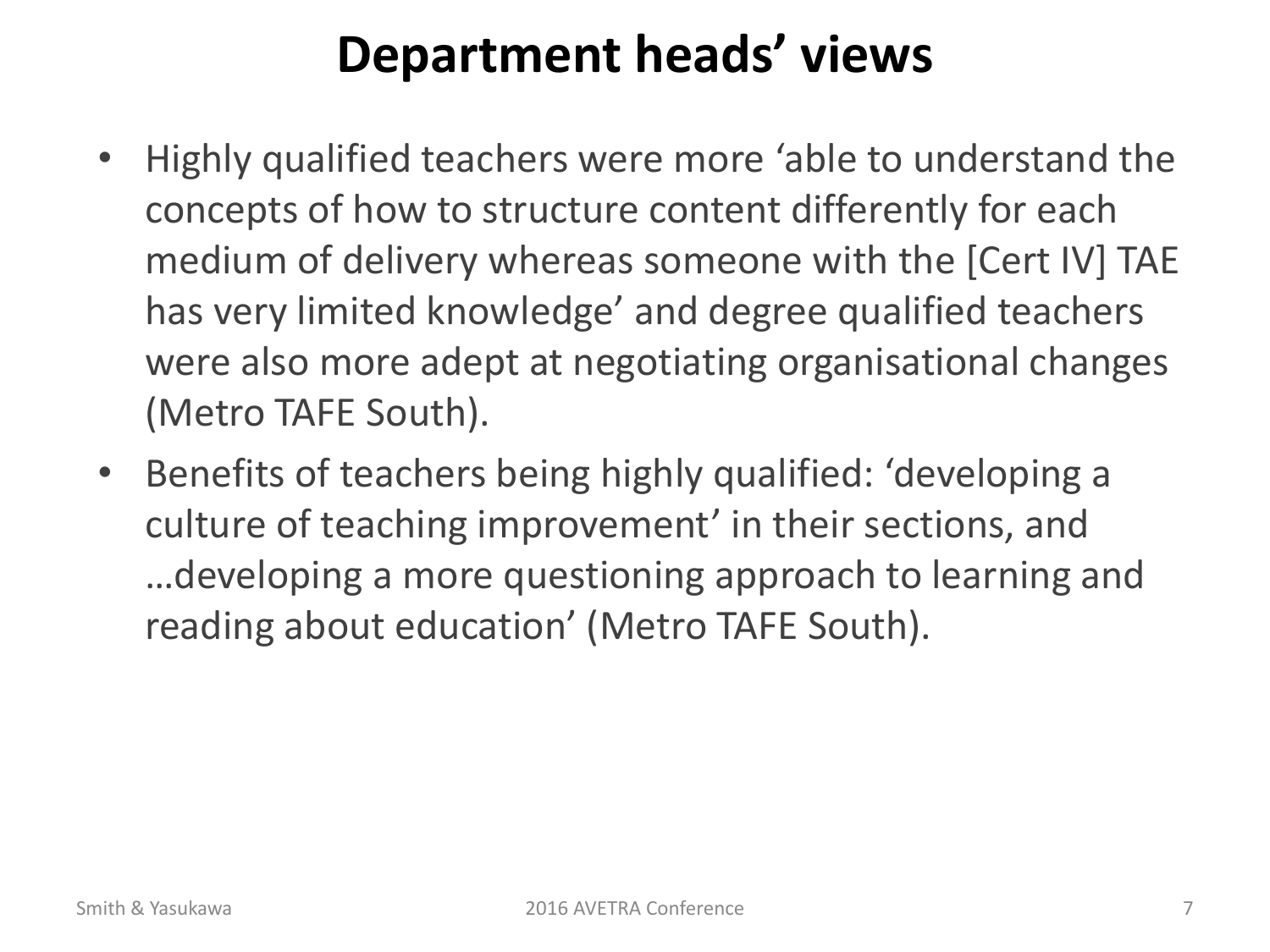#### **Department heads' views**

- Highly qualified teachers were more 'able to understand the concepts of how to structure content differently for each medium of delivery whereas someone with the [Cert IV] TAE has very limited knowledge' and degree qualified teachers were also more adept at negotiating organisational changes (Metro TAFE South).
- Benefits of teachers being highly qualified: 'developing a culture of teaching improvement' in their sections, and …developing a more questioning approach to learning and reading about education' (Metro TAFE South).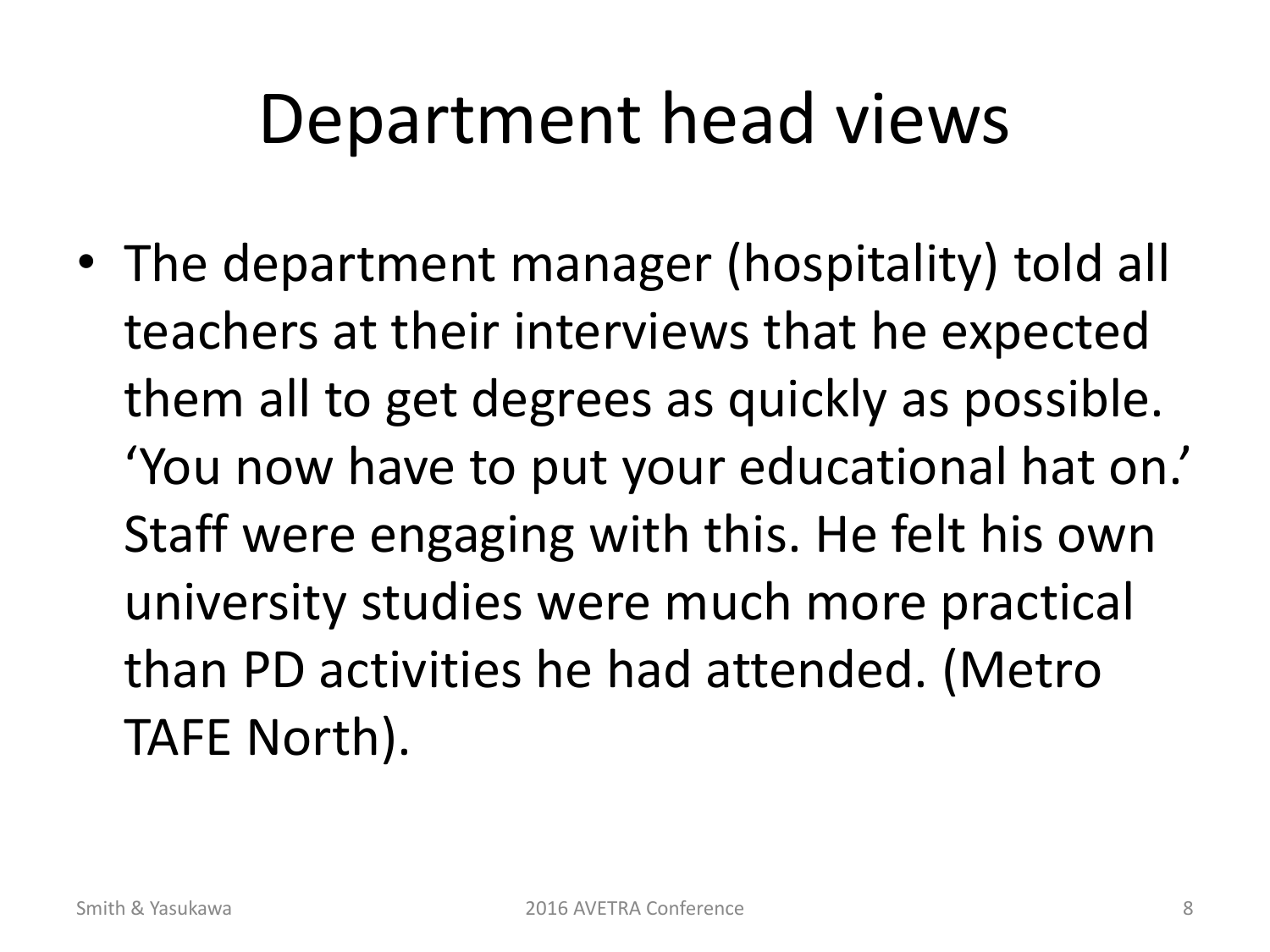### Department head views

• The department manager (hospitality) told all teachers at their interviews that he expected them all to get degrees as quickly as possible. 'You now have to put your educational hat on.' Staff were engaging with this. He felt his own university studies were much more practical than PD activities he had attended. (Metro TAFE North).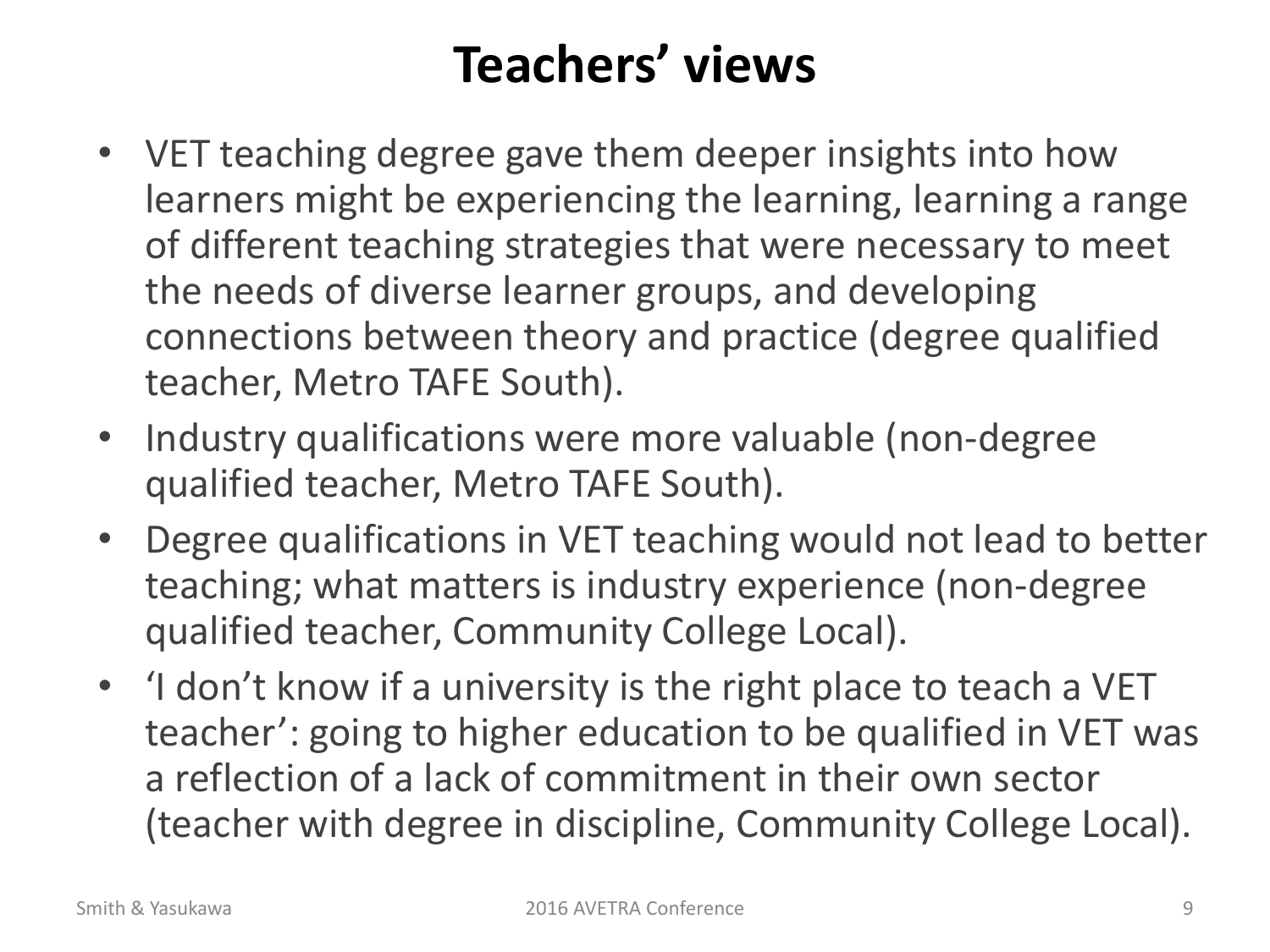#### **Teachers' views**

- VET teaching degree gave them deeper insights into how learners might be experiencing the learning, learning a range of different teaching strategies that were necessary to meet the needs of diverse learner groups, and developing connections between theory and practice (degree qualified teacher, Metro TAFE South).
- Industry qualifications were more valuable (non-degree qualified teacher, Metro TAFE South).
- Degree qualifications in VET teaching would not lead to better teaching; what matters is industry experience (non-degree qualified teacher, Community College Local).
- 'I don't know if a university is the right place to teach a VET teacher': going to higher education to be qualified in VET was a reflection of a lack of commitment in their own sector (teacher with degree in discipline, Community College Local).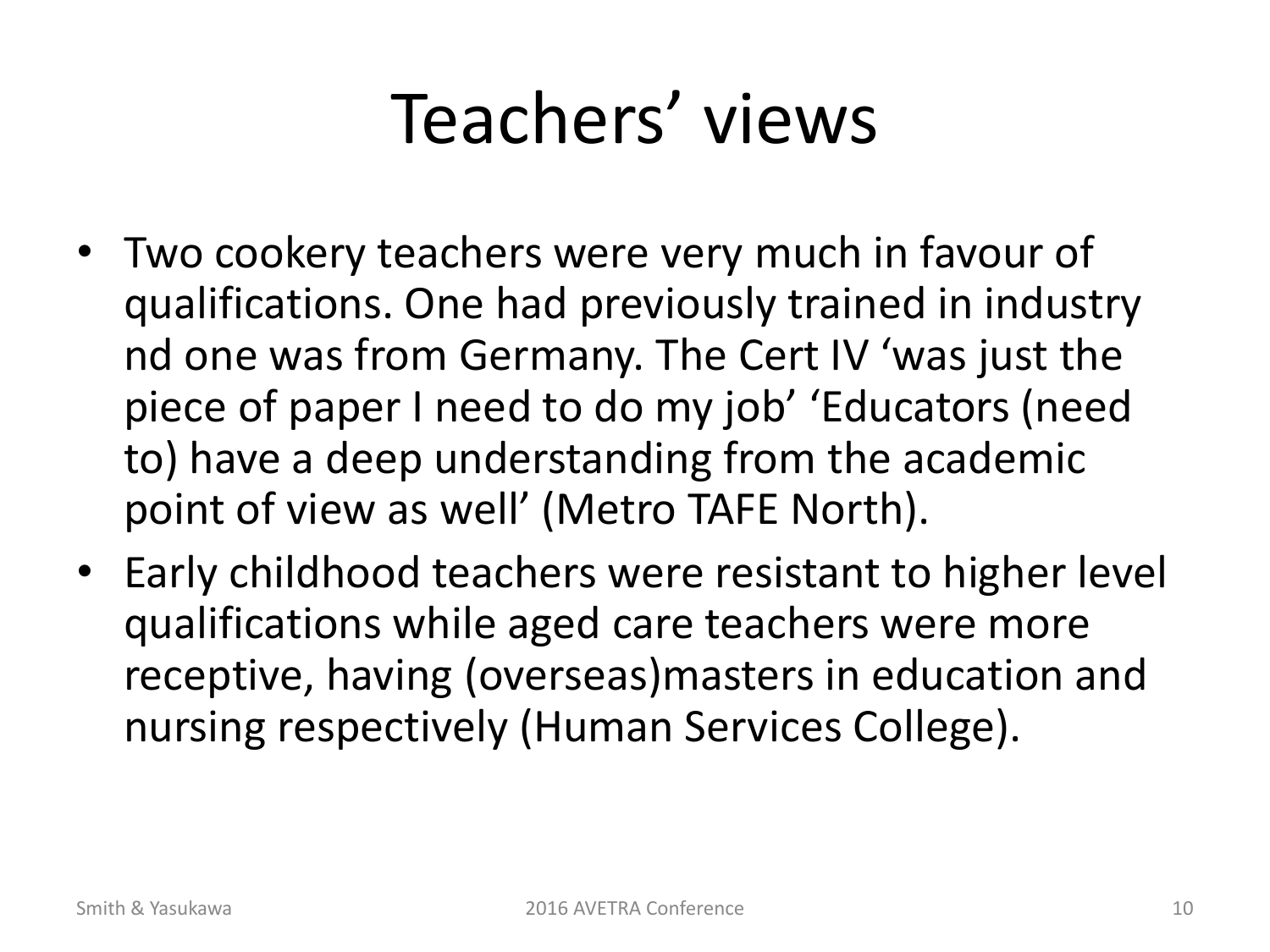### Teachers' views

- Two cookery teachers were very much in favour of qualifications. One had previously trained in industry nd one was from Germany. The Cert IV 'was just the piece of paper I need to do my job' 'Educators (need to) have a deep understanding from the academic point of view as well' (Metro TAFE North).
- Early childhood teachers were resistant to higher level qualifications while aged care teachers were more receptive, having (overseas)masters in education and nursing respectively (Human Services College).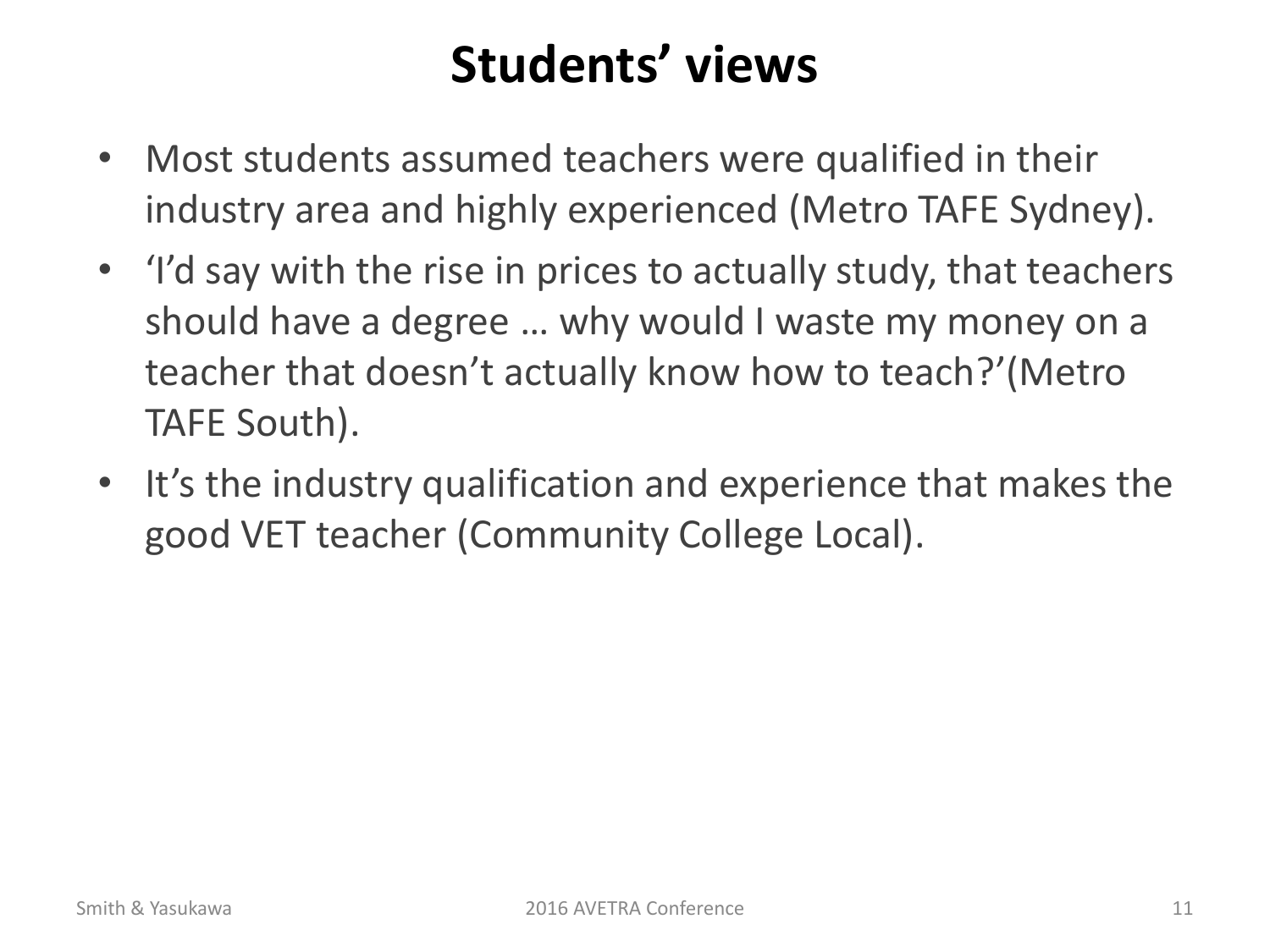#### **Students' views**

- Most students assumed teachers were qualified in their industry area and highly experienced (Metro TAFE Sydney).
- 'I'd say with the rise in prices to actually study, that teachers should have a degree … why would I waste my money on a teacher that doesn't actually know how to teach?'(Metro TAFE South).
- It's the industry qualification and experience that makes the good VET teacher (Community College Local).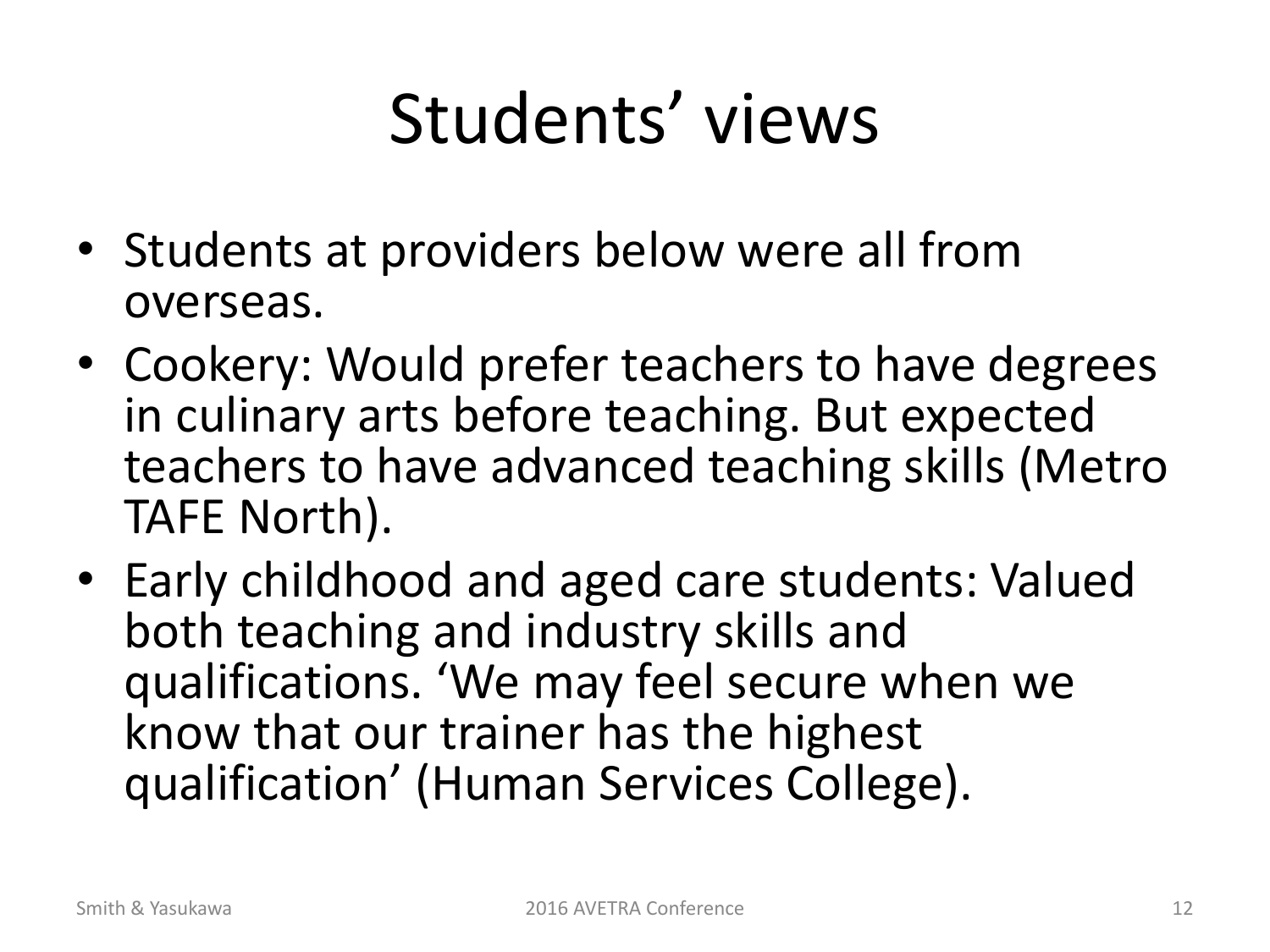# Students' views

- Students at providers below were all from overseas.
- Cookery: Would prefer teachers to have degrees in culinary arts before teaching. But expected teachers to have advanced teaching skills (Metro TAFE North).
- Early childhood and aged care students: Valued both teaching and industry skills and qualifications. 'We may feel secure when we know that our trainer has the highest qualification' (Human Services College).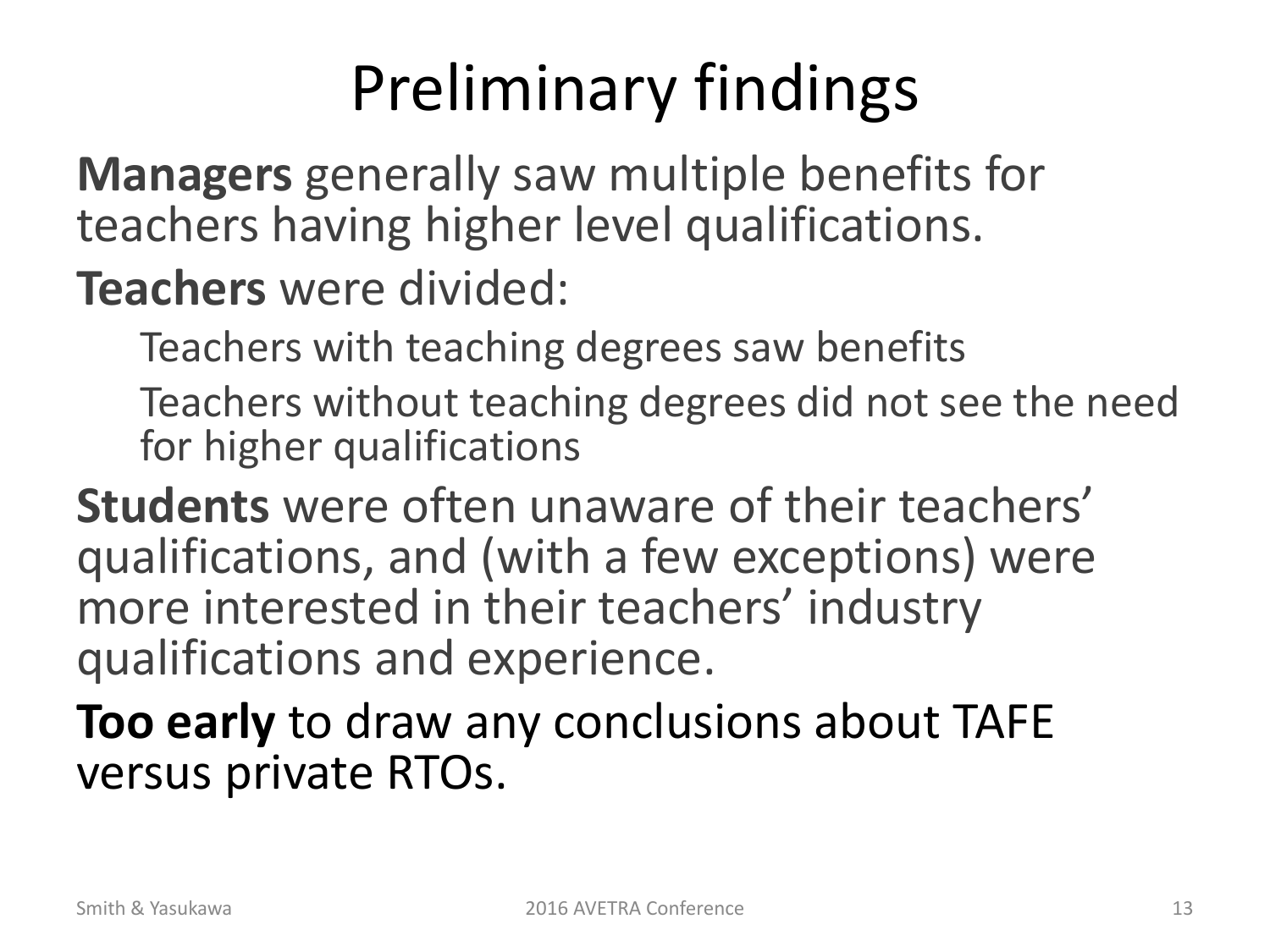### Preliminary findings

**Managers** generally saw multiple benefits for teachers having higher level qualifications.

**Teachers** were divided:

Teachers with teaching degrees saw benefits

Teachers without teaching degrees did not see the need for higher qualifications

**Students** were often unaware of their teachers' qualifications, and (with a few exceptions) were more interested in their teachers' industry qualifications and experience.

**Too early** to draw any conclusions about TAFE versus private RTOs.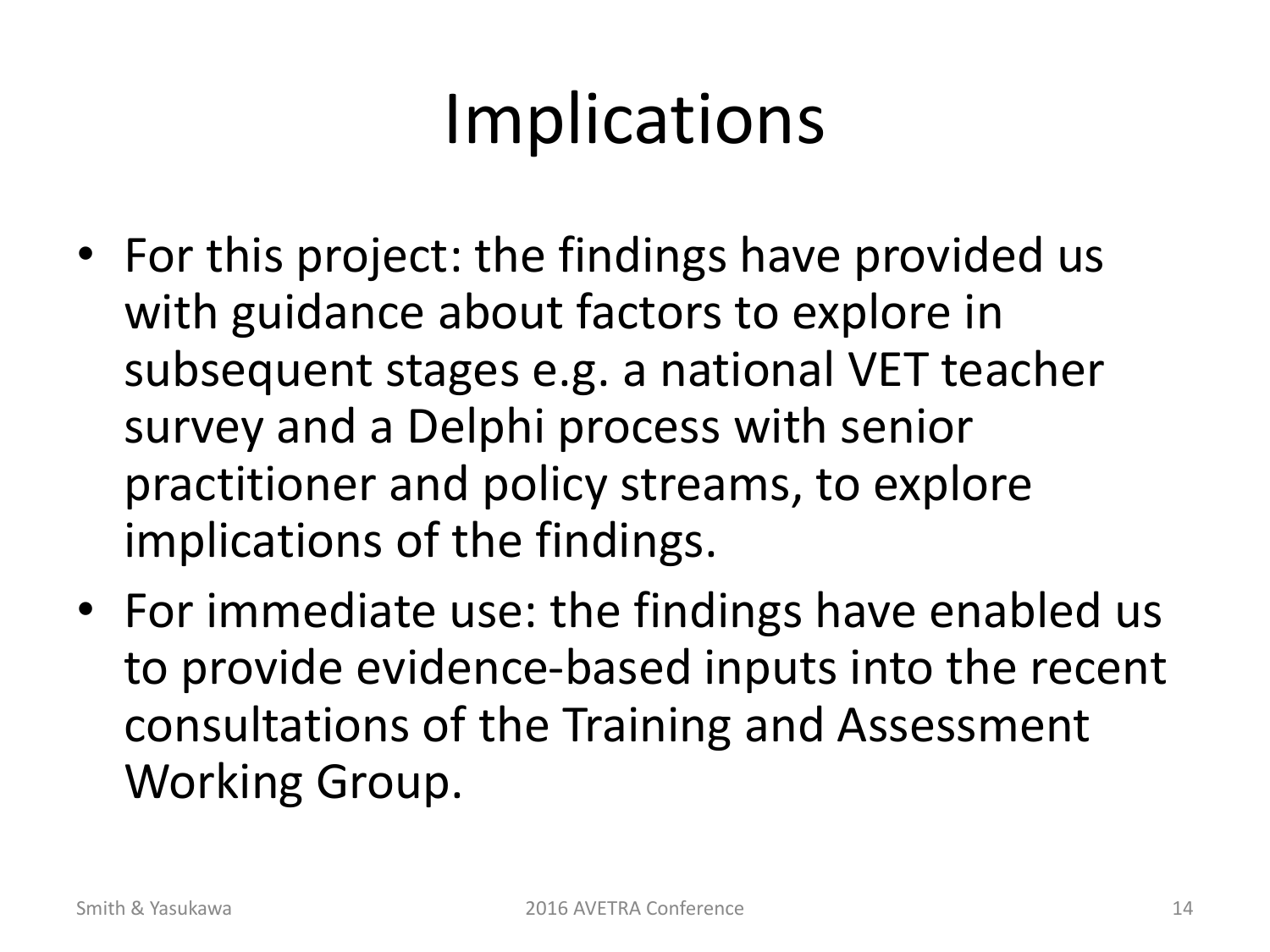# Implications

- For this project: the findings have provided us with guidance about factors to explore in subsequent stages e.g. a national VET teacher survey and a Delphi process with senior practitioner and policy streams, to explore implications of the findings.
- For immediate use: the findings have enabled us to provide evidence-based inputs into the recent consultations of the Training and Assessment Working Group.